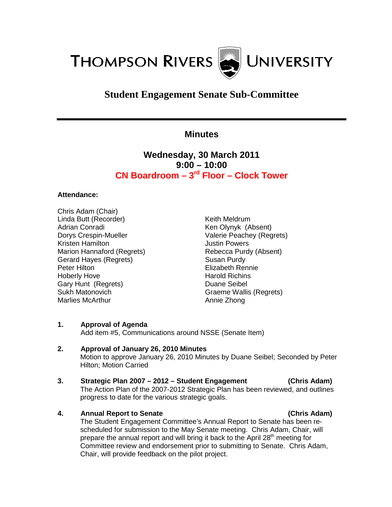

# **Student Engagement Senate Sub-Committee**

# **Minutes**

# **Wednesday, 30 March 2011 9:00 – 10:00 CN Boardroom – 3rd Floor – Clock Tower**

## **Attendance:**

Chris Adam (Chair) Linda Butt (Recorder) Adrian Conradi Dorys Crespin-Mueller Kristen Hamilton Marion Hannaford (Regrets) Gerard Hayes (Regrets) Peter Hilton Hoberly Hove Gary Hunt (Regrets) Sukh Matonovich Marlies McArthur

Keith Meldrum Ken Olynyk (Absent) Valerie Peachey (Regrets) Justin Powers Rebecca Purdy (Absent) Susan Purdy Elizabeth Rennie Harold Richins Duane Seibel Graeme Wallis (Regrets) Annie Zhong

# **1. Approval of Agenda**

Add item #5, Communications around NSSE (Senate Item)

## **2. Approval of January 26, 2010 Minutes** Motion to approve January 26, 2010 Minutes by Duane Seibel; Seconded by Peter Hilton; Motion Carried

**3. Strategic Plan 2007 – 2012 – Student Engagement (Chris Adam)** The Action Plan of the 2007-2012 Strategic Plan has been reviewed, and outlines progress to date for the various strategic goals.

## **4. Annual Report to Senate (Chris Adam)**

The Student Engagement Committee's Annual Report to Senate has been rescheduled for submission to the May Senate meeting. Chris Adam, Chair, will prepare the annual report and will bring it back to the April 28<sup>th</sup> meeting for Committee review and endorsement prior to submitting to Senate. Chris Adam, Chair, will provide feedback on the pilot project.